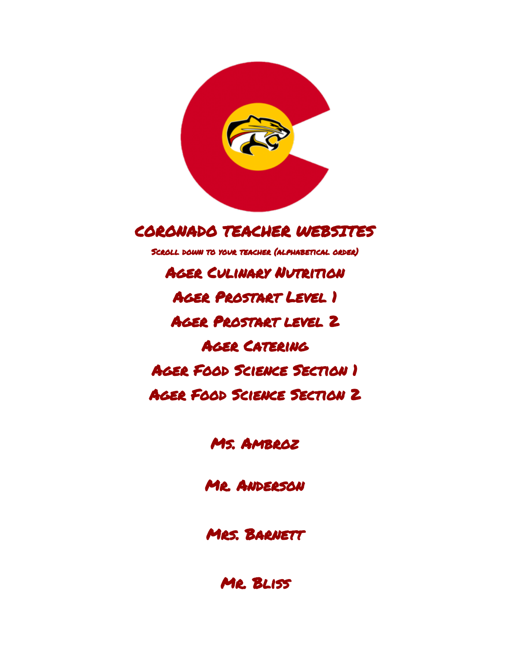

# CORONADO TEACHER WEBSITES

Scroll down to your teacher (alphabetical order)

**AGER CULINARY NUTRITION** Ager [Prostart](https://classroom.google.com/c/MjY3NjIyNzAw) Level 1 Ager [Prostart](https://classroom.google.com/c/MzAzNzU0NzM3) level 2 Ager [Catering](https://classroom.google.com/c/MzAzNzA5MzQ5)  Ager Food Science [Section](https://classroom.google.com/c/MzAzNzgzMjE4) 1 Ager Food Science [Section](https://classroom.google.com/c/MTkyNjgwNzU1Nlpa) 2

Ms. [Ambroz](https://sites.google.com/d11.org/coronadotheatredept/home)

Mr. [Anderson](https://sites.google.com/d11.org/andersonj) 

MRS. BARNETT

Mr. [Bliss](http://teachers.d11.org/teachers/blissgh/Pages/home.aspx)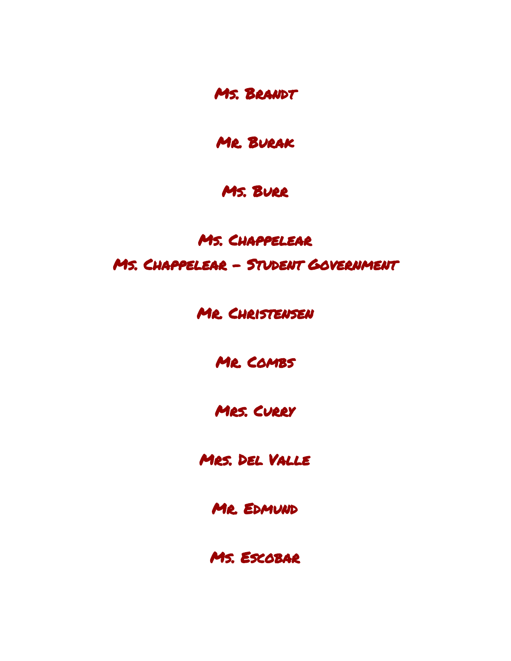Ms. [Brandt](http://teachers.d11.org/teachers/brandcl/Pages/home.aspx)

Mr. [Burak](http://teachers.d11.org/teachers/buraksg/Pages/home.aspx)

#### Ms. [Burr](http://teachersites.schoolworld.com/webpages/LBurr/)

# Ms. Chap[pelear](https://sites.google.com/d11.org/chappelearscience) Ms. Chappelear - Student [Government](https://sites.google.com/d11.org/coronadocouncil)

Mr. [Christensen](http://teachers.d11.org/teachers/chrisca/Pages/home.aspx)

Mr. [Combs](http://teachers.d11.org/teachers/combsa/Pages/home.aspx)

MRS. CURRY

Mrs. Del [Valle](http://teachers.d11.org/teachers/delvid/Pages/home.aspx)

Mr. [Edmund](http://teachersites.schoolworld.com/webpages/ScottEdmund/index.cfm)

Ms. [Escobar](http://teachersites.schoolworld.com/webpages/SDALLAM/)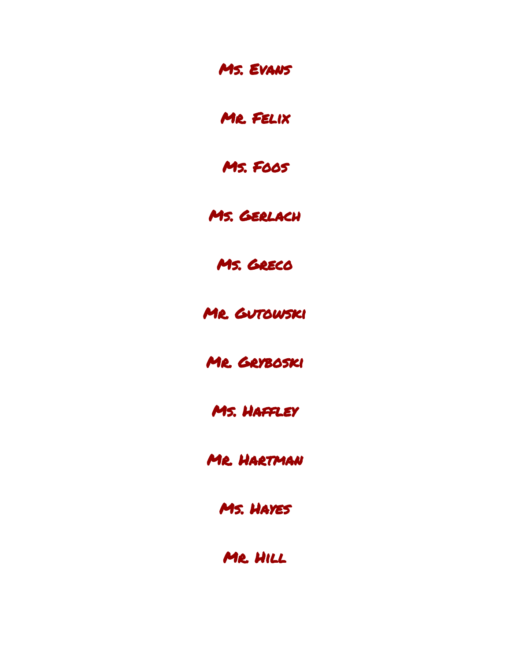Ms. [Evans](http://teachersites.schoolworld.com/webpages/JEvans/)

Mr. [Felix](http://teachersites.schoolworld.com/webpages/MarkFelix/index.cfm?entry=3995)

Ms. [Foos](http://teachers.d11.org/teachers/foosw/Pages/home.aspx)

Ms. [Gerlach](http://teachers.d11.org/teachers/gerlaak/Pages/home.aspx)

Ms. [Greco](http://teachers.d11.org/teachers/palmipm)

MR. GUTOWSKI

Mr. [Gryboski](http://teachersites.schoolworld.com/webpages/DGRYBOSKI/index.cfm)

Ms. [Haffley](http://teachers.d11.org/teachers/hafflj/Pages/home.aspx)

Mr. [Hartman](http://teachersites.schoolworld.com/webpages/CHartman/) 

Ms. [Hayes](http://spedandgifted.weebly.com/) 

Mr. [Hill](http://teachers.d11.org/teachers/hillkg/Pages/home.aspx)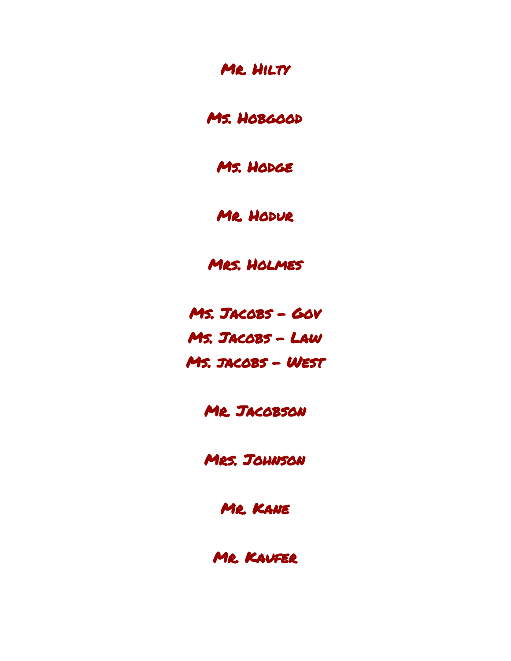### MR. HILTY

Ms. [Hobgood](http://teachers.d11.org/teachers/hobgoba/Pages/home.aspx)

Ms. HODGE

MR. HODUR

Mrs. [Holmes](http://teachersites.schoolworld.com/webpages/SHOLMES/)

Ms. [Jacobs](https://www.myhaikuclass.com/Sarah.Jacobs/government/cms_page/view/29516160) - Gov Ms. [Jacobs](https://www.myhaikuclass.com/Sarah.Jacobs/law/cms_page/view/29538716) - Law Ms. [jacobs](https://www.myhaikuclass.com/Sarah.Jacobs/americanwest/cms_page/view) - West

MR. JACOBSON

Mrs. [Johnson](http://teachers.d11.org/teachers/johnsmw/Pages/home.aspx)

Mr. [Kane](http://teachers.d11.org/teachers/kanejj/)

Mr. [Kaufer](http://teachers.d11.org/teachers/kaufepd)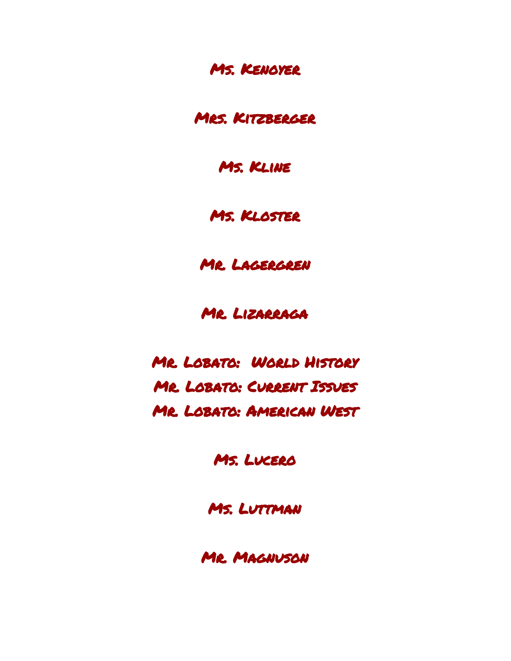Ms. [Kenoyer](http://teachersites.schoolworld.com/webpages/SheenaKenoyer/) 

MRS. KITZBERGER

Ms. [Kline](http://teachersites.schoolworld.com/webpages/LKline/)

Ms. [Kloster](http://teachersites.schoolworld.com/webpages/SKloster)

Mr. [Lagergren](http://teachers.d11.org/teachers/lagerwe/Pages/home.aspx) 

MR. LIZARRAGA

Mr. [Lobato:](https://www.myhaikuclass.com/lobatrb/worldhistory) World History Mr. Lobato: [Current](https://www.myhaikuclass.com/lobatrb/currentissues) Issues Mr. Lobato: [American](https://www.myhaikuclass.com/lobatrb/americanwest) West

Ms. [Lucero](http://teachers.d11.org/teachers/lucersk/Pages/home.aspx)

Ms. [Luttman](http://teachersites.schoolworld.com/webpages/ALUTTMAN)

Mr. [Magnuson](http://teachersites.schoolworld.com/webpages/LMagnuson/)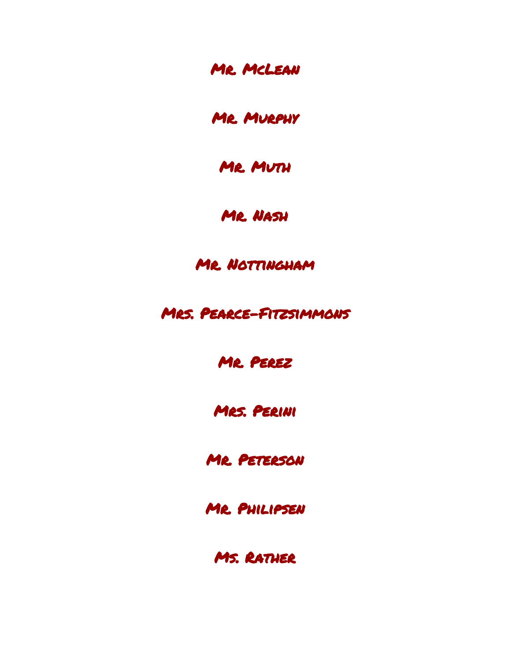Mr. [McLean](http://teachersites.schoolworld.com/webpages/BMCLEAN/) 

Mr. [Murphy](http://teachers.d11.org/teachers/murphte/Pages/home.aspx)

MR. MUTH

Mr. [Nash](http://teachers.d11.org/teachers/nashtm/Pages/home.aspx)

MR. NOTTINGHAM

Mrs. [Pearce-Fitzsimmons](http://teachersites.schoolworld.com/webpages/Dfitzsimmons/)

Mr. [Perez](http://teachers.d11.org/teachers/perezr/Pages/home.aspx)

Mrs. [Perini](http://coronado.d11.org/Pages/TeacherWebsites.aspx)

Mr. [Peterson](http://teachers.d11.org/teachers/peterta/Pages/home.aspx)

Mr. [Philipsen](https://sites.google.com/site/tylerphilipsen/home)

Ms. RATHER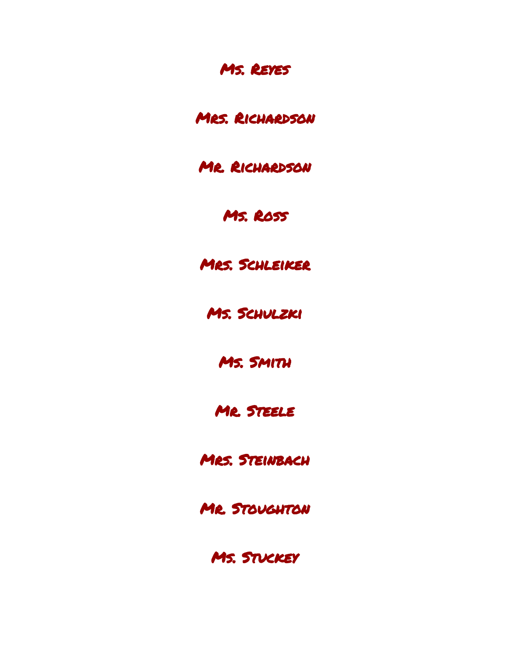## Ms. [Reyes](http://teachersites.schoolworld.com/webpages/tapiaa/)

### Mrs. [Richardson](http://teachersites.schoolworld.com/webpages/JJRichardson/index.cfm)

MR. RICHARDSON

## Ms. [Ross](https://sites.google.com/site/rosslaurie2010/home)

Mrs. [Schleiker](http://teachersites.schoolworld.com/webpages/KSCHLEIKER/)

Ms. [Schulzki](http://teachers.d11.org/teachers/schula/Pages/home.aspx)

Ms. [Smith](https://sites.google.com/site/mrssmithspage/)

Mr. [Steele](http://teachersites.schoolworld.com/webpages/DAVIDSTEELE/index.cfm)

MRS. STEINBACH

MR. STOUGHTON

Ms. [Stuckey](http://teachers.d11.org/teachers/stuckld/Pages/home.aspx)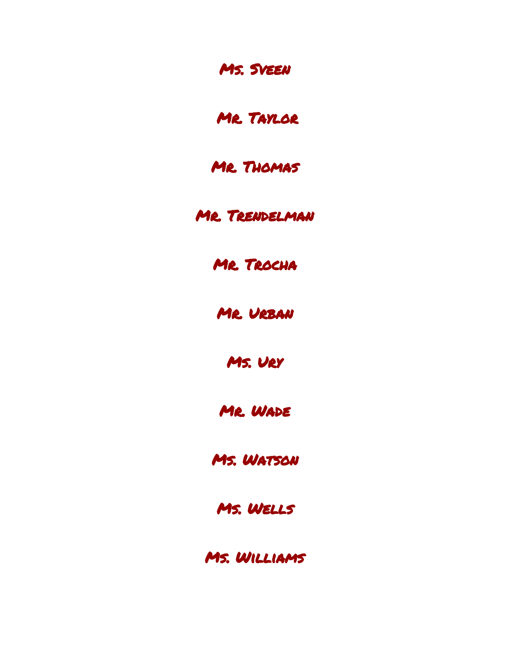Ms. [Sveen](http://teachersites.schoolworld.com/webpages/JordanSveen/) 

Mr. [Taylor](https://classroom.google.com/u/0/h)

MR. THOMAS

Mr. [Trendelman](http://teachers.d11.org/teachers/trendza/Pages/home.aspx)

Mr. [Trocha](http://class.coinfrancais.com/index.html) 

Mr. [Urban](http://teachersites.schoolworld.com/webpages/BUrban/index.cfm)

[Ms.](https://mylearning.powerschool.com/do/account/login) Ury

Mr. [Wade](http://teachers.d11.org/teachers/wadejr/Pages/home.aspx)

Ms. [Watson](https://sites.google.com/d11.org/misswatson-chs/home)

Ms. [Wells](http://teachers.d11.org/teachers/wells/Pages/home.aspx) 

Ms. [Williams](http://teachers.d11.org/teachers/willila/Pages/home.aspx)